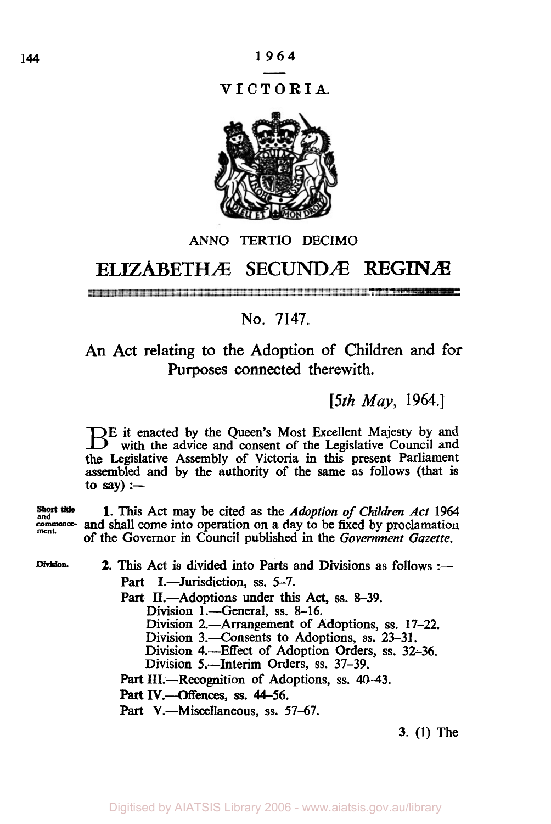**VICTORIA.** 



# ANN0 TERTIO DECIMO

# **ELIZABETHÆ SECUNDÆ REGINÆ**

=\* --=\*

# No. **7147.**

An Act relating to the Adoption of Children and for Purposes connected therewith.

*[5th May,* **1964.]** 

**E** it enacted by the Queen's Most Excellent Majesty by and with the advice and consent of the Legislative Council and the Legislative Assembly of Victoria in this present Parliament assembled and by the authority of the same **as** follows (that is to say) :—

Short title **1.** This Act may be cited as the *Adoption of Children Act* 1964 and commence-<br>
next may be circuit as the *Autoproon* of children Act 1904<br>
ment. of **the** Governor in Council published in the *Government Gazette.* 

Division. **2.** This Act is divided into Parts and Divisions as follows :-Part I.-Jurisdiction, ss. 5-7.

> Part II.—Adoptions under this Act, ss. 8-39. Division 1.-General, ss. 8-16. Division 2.-Arrangement of Adoptions, **ss.** 17-22.

Division 3.-Consents to Adoptions, **ss.** 23-31.

Division 4.-Effect of Adoption Orders, **ss.** 32-36.

Division 5.-Interim Orders, **ss.** 37-39.

Part III.—Recognition of Adoptions, ss. 40-43.

**Part** IV.-Offences, **SS.** 44-56.

Part V.-Miscellaneous, ss. 57-67.

3. (I) The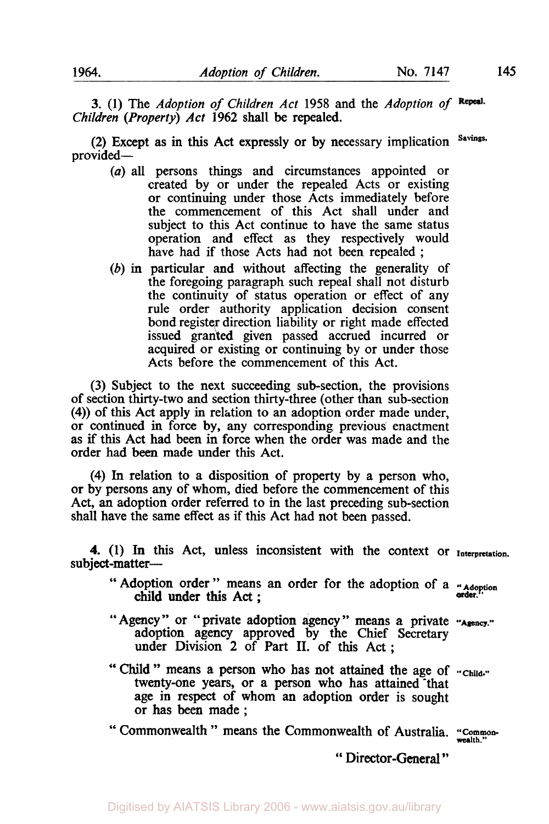*3.* (1) The *Adoption of Children Act* 1958 and the *Adoption of Children (Property) Act* **1962** shall be repealed.

**(2)** Except as in this Act expressly or by necessary implication **Savings.**  provided-

- *(a)* all persons things and circumstances appointed or created by or under the repealed Acts or existing or continuing under those Acts immediately before the commencement of this Act shall under and subject to this Act continue to have the same status operation and effect as they respectively would have had if those Acts had not been repealed ;
- *(b)* in particular and without affecting the generality of the foregoing paragraph such repeal shall not disturb the continuity of status operation or effect of any rule order authority application decision consent bond register direction liability or right made effected issued granted given passed accrued incurred or acquired or existing or continuing by or under those Acts before the commencement of this Act.

(3) Subject to the next succeeding sub-section, the provisions of section thirty-two and section thirty-three (other than sub-section **(4))** of this Act apply in relation to an adoption order made under, or continued in force by, any corresponding previous enactment as if this Act had been in force when the order was made and the order had been made under this Act.

**(4)** In relation to a disposition of property by a person who, or by persons any of whom, died before the commencement of this Act, an adoption order referred to in the last preceding sub-section shall have the same effect as if this Act had not been passed.

**4. (1)** In this Act, unless inconsistent with the context or **Interpretation.**  subject-matter-

- " Adoption order " means an order for the adoption of a " **Adoption**  loption order " means an order for the adoption of a  $\frac{u_{\text{Ado}}}{\text{order}}$ .
- "Agency" or "private adoption agency" means a private "Agency." adoption agency approved by the Chief Secretary under Division 2 of Part **II.** of this Act;
- twenty-one years, or a person who has attained that age in respect of whom an adoption order is sought or has **been** made ; "Child" means a person who has not attained the age of **"Child."**

" Commonwealth " means the Commonwealth of Australia. "Common-

" Director-General "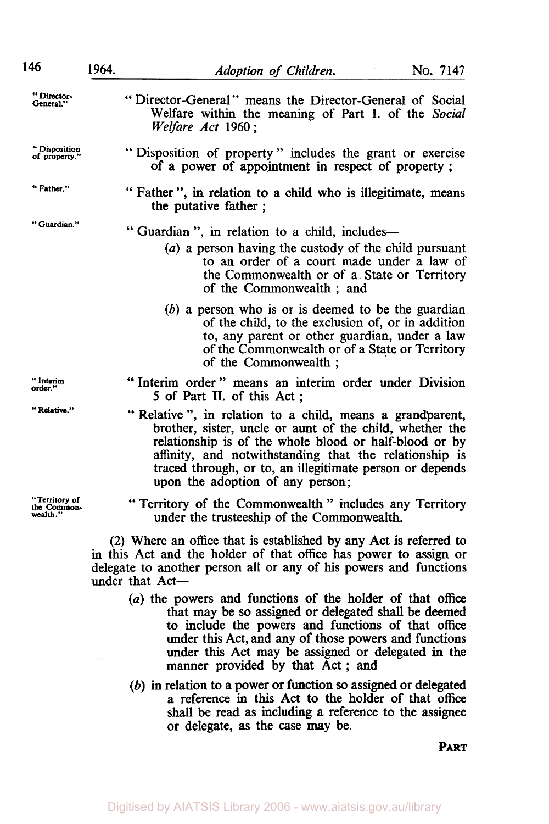| 146                                      | 1964. | Adoption of Children.                                                                                                                                                                                                                                                                                                                    | No. 7147 |
|------------------------------------------|-------|------------------------------------------------------------------------------------------------------------------------------------------------------------------------------------------------------------------------------------------------------------------------------------------------------------------------------------------|----------|
| "Director-<br>General."                  |       | "Director-General" means the Director-General of Social<br>Welfare within the meaning of Part I. of the Social<br>Welfare Act 1960:                                                                                                                                                                                                      |          |
| "Disposition<br>of property."            |       | "Disposition of property" includes the grant or exercise<br>of a power of appointment in respect of property;                                                                                                                                                                                                                            |          |
| " Father."                               |       | " Father ", in relation to a child who is illegitimate, means<br>the putative father;                                                                                                                                                                                                                                                    |          |
| "Guardian."                              |       | "Guardian", in relation to a child, includes-<br>(a) a person having the custody of the child pursuant<br>to an order of a court made under a law of<br>the Commonwealth or of a State or Territory<br>of the Commonwealth; and                                                                                                          |          |
|                                          |       | $(b)$ a person who is or is deemed to be the guardian<br>of the child, to the exclusion of, or in addition<br>to, any parent or other guardian, under a law<br>of the Commonwealth or of a State or Territory<br>of the Commonwealth ;                                                                                                   |          |
| " Interim<br>order."                     |       | "Interim order" means an interim order under Division<br>5 of Part II. of this Act:                                                                                                                                                                                                                                                      |          |
| "Relative."                              |       | "Relative", in relation to a child, means a grandparent,<br>brother, sister, uncle or aunt of the child, whether the<br>relationship is of the whole blood or half-blood or by<br>affinity, and notwithstanding that the relationship is<br>traced through, or to, an illegitimate person or depends<br>upon the adoption of any person; |          |
| "Territory of<br>the Common-<br>wealth." |       | "Territory of the Commonwealth" includes any Territory<br>under the trusteeship of the Commonwealth.                                                                                                                                                                                                                                     |          |
|                                          |       | (2) Where an office that is established by any Act is referred to<br>in this Act and the holder of that office has power to assign or<br>delegate to another person all or any of his powers and functions<br>under that Act-                                                                                                            |          |
|                                          |       | (a) the powers and functions of the holder of that office<br>that may be so assigned or delegated shall be deemed<br>to include the powers and functions of that office<br>under this Act, and any of those powers and functions<br>under this Act may be assigned or delegated in the<br>manner provided by that Act; and               |          |
|                                          |       | $(b)$ in relation to a power or function so assigned or delegated<br>compact in this Act to the holder of that office                                                                                                                                                                                                                    |          |

a reference in this Act to the holder of that office shall be read as including a reference to the assignee or delegate, **as** the case may be.

**PART**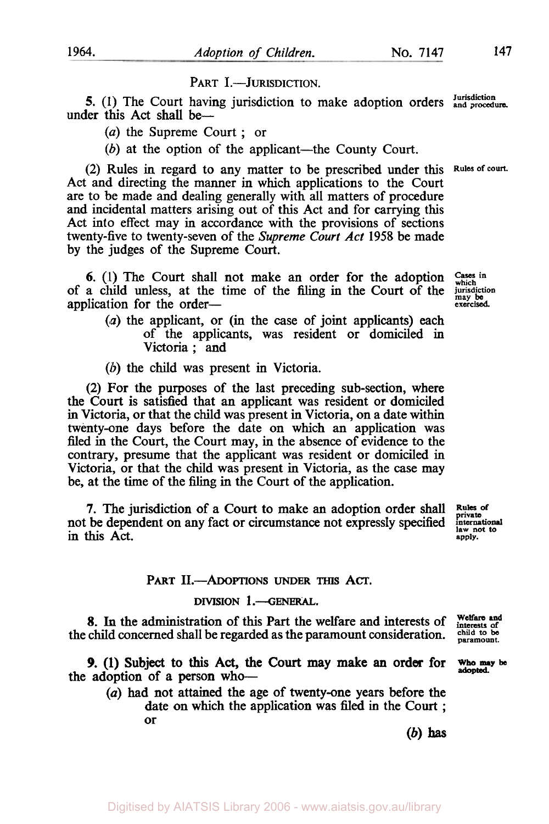## PART I.-JURISDICTION.

**5.** (1) The Court having jurisdiction to make adoption orders  $\frac{\text{Jurisdiction}}{\text{and procedure}}$ under this Act shall be-

*(a)* the Supreme Court ; or

 $(b)$  at the option of the applicant—the County Court.

(2) Rules in regard to any matter to be prescribed under this **Rules of court.**  Act and directing the manner in which applications to the Court are to be made and dealing generally with all matters of procedure and incidental matters arising out of this Act and for carrying this Act into effect may in accordance with the provisions of sections twenty-five to twenty-seven of the *Supreme Court Act* **1958** be made by the judges of the Supreme Court.

6. **(1)** The Court shall not make an order for the adoption of a child unless, at the time of the filing in the Court of the application for the order-

- **(a)** the applicant, or (in the case of joint applicants) each of the applicants, was resident or domiciled in Victoria; and
- *(b)* the child was present in Victoria.

(2) For the purposes of the last preceding sub-section, where the Court is satisfied that an applicant was resident or domiciled in Victoria, or that the child was present in Victoria, on a date within twenty-one days before the date on which an application was filed in the Court, the Court may, in the absence of evidence to the contrary, presume that the applicant was resident or domiciled in Victoria, or that the child was present in Victoria, as the case may be, at the time of the filing in the Court of the application.

**7.** The jurisdiction of a Court to make an adoption order shall not be dependent on any fact or circumstance not expressly specified in this Act.

**Rules of private international law not** *to*  **apply.** 

### **PART II.-ADOPTIONS UNDER** THIS ACT.

### **DIVISION 1.-GENERAL.**

8. In the administration of this Part the welfare and interests of **interests** of **of interests** of **of of**  $\frac{1}{2}$  **of**  $\frac{1}{2}$  **of**  $\frac{1}{2}$  **of**  $\frac{1}{2}$  **of**  $\frac{1}{2}$  **of**  $\frac{1}{2}$  **o**  $\frac{1}{2}$  **o**  $\frac{1}{2$ the child concerned shall be regarded as the paramount consideration. child to be paramount.

the adoption of a person who-*9.* (1) Subject to this Act, the Court may make an order for **Who may be adopted** 

*(a)* had not attained the age of twenty-one years before the date on which the application was **filed** in the **Court** ; or

**(b) has** 

Cases **in which jurisdiction may** be **exercised**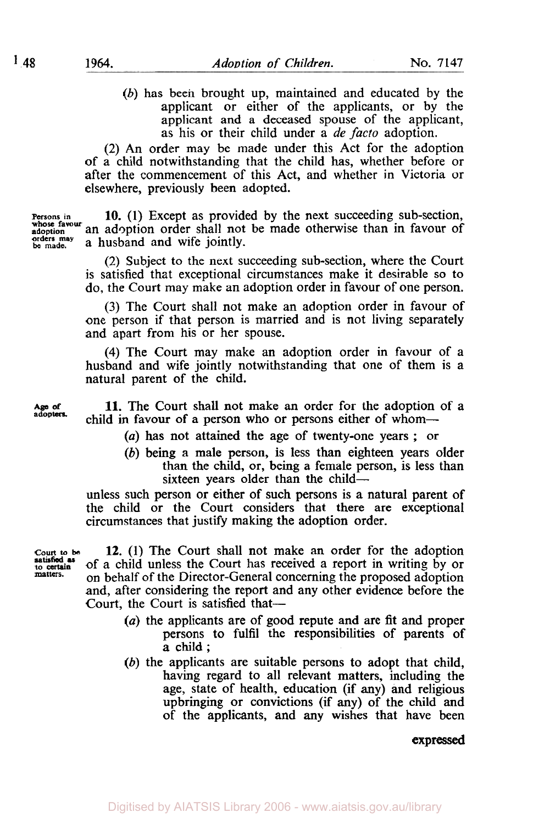*(b)* has been brought up, maintained and educated by the applicant or either of the applicants, **or** by the applicant and a deceased spouse of the applicant, as his or their child under a *de facto* adoption.

(2) An order may be made under this Act for the adoption of a child notwithstanding that the child has, whether before or after the commencement of this Act, and whether in Victoria or elsewhere, previously been adopted.

**Persons in whose favour adoption be made. 10.** (1) Except as provided by the next succeeding sub-section, an adoption order shall not be made otherwise than in favour of a husband and wife jointly. **orders may** 

> (2) Subject to the next succeeding sub-section, where the Court **is** satisfied that exceptional circumstances make it desirable so to do, the Court may make an adoption order in favour of one person.

> **(3)** The Court shall not make an adoption order in favour of one person if that person is married and is not living separately and apart from his or her spouse.

> (4) The Court may make an adoption order in favour of **a**  husband and wife jointly notwithstanding that one of them is a natural parent of the child.

**11.** The Court shall not make an order for the adoption of a Age of **adopters adoption adoption child in favour of a person who or persons either of whom---**

*(a)* has not attained the age of twenty-one years ; or

*(b)* being a male person, **is** less than eighteen years older than the child, or, being a female person, **is** less than sixteen years older than the child-

unless such person or either of such persons is a natural parent of the child or the Court considers that there are exceptional circumstances that justify making the adoption order.

**court to be to satisfied as matters.** 

**12.** (1) The Court shall not make an order for the adoption of a child unless the Court has received a report in writing by or on behalf of the Director-General concerning the proposed adoption and, after considering the report and any other evidence before the Court, the Court is satisfied that-

- *(a)* the applicants are of good repute and are fit and proper persons to fulfil the responsibilities of parents of a child ;
- *(b)* the applicants are suitable persons to adopt that child, having regard to all relevant matters, including the age, state of health, education (if any) and religious upbringing or convictions (if any) of **the** child and of the applicants, and any wishes that have been

**expressed**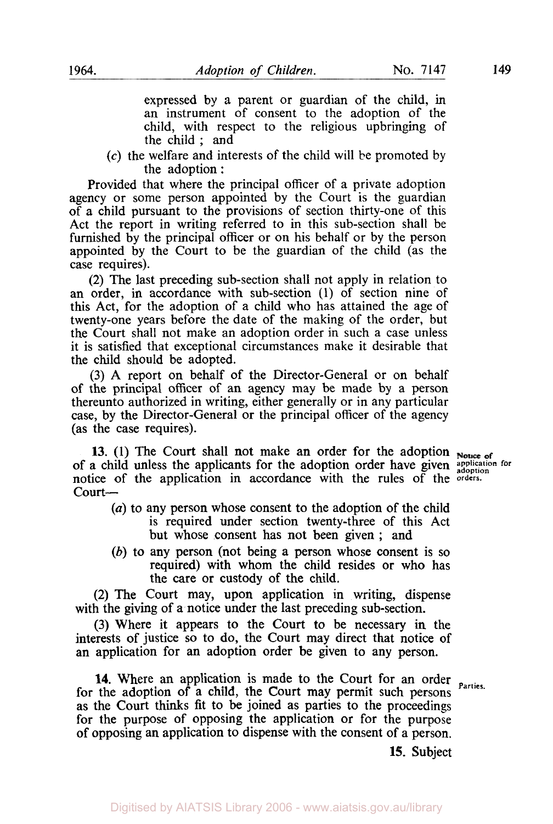expressed by a parent or guardian of the child, in an instrument of consent to the adoption of the child, with respect to the religious upbringing of the child ; and

**(c)** the welfare and interests of the child will be promoted by the adoption :

Provided that where the principal officer of a private adoption agency or some person appointed by the Court is the guardian of a child pursuant to the provisions of section thirty-one of this Act the report in writing referred to in this sub-section shall be furnished by the principal officer or on his behalf or by the person appointed by the Court to be the guardian of the child (as the case requires).

(2) The last preceding sub-section shall not apply in relation to an order, in accordance with sub-section **(1)** of section nine of this Act, for the adoption of a child who has attained the age of twenty-one years before the date of the making of the order, but the Court shall not make an adoption order in such a case unless it is satisfied that exceptional circumstances make it desirable that the child should be adopted.

**(3) A** report on behalf of the Director-General or on behalf of the principal officer of an agency may be made by a person thereunto authorized in writing, either generally or in any particular case, by the Director-General or the principal officer of the agency (as the case requires).

**13. (1)** The Court shall not make an order for the adoption of a child unless the applicants for the adoption order have given *application for*  $\frac{1}{\text{addition}}$  *separation for* notice of the application in accordance with the rules of the **orders.**  court-

- *(a)* to any person whose consent to the adoption of the child is required under section twenty-three of this Act but whose consent has not been given ; and
- *(b)* to any person (not being a person whose consent **is** so required) with whom the child resides or who has the care or custody of the child.

(2) The Court may, upon application in writing, dispense with the giving of a notice under the last preceding sub-section.

**(3)** Where it appears to the Court **to** be necessary in the interests of justice so to do, the Court may direct that notice of an application for an adoption order be given to any person.

**14.** Where an application is made to the Court for an order *Parties*. for the adoption of a child, the Court may permit such persons as the Court thinks fit to be joined as parties to the proceedings for the purpose **of** opposing the application or for the purpose of opposing an application to dispense with the consent of a person.

**15.** Subject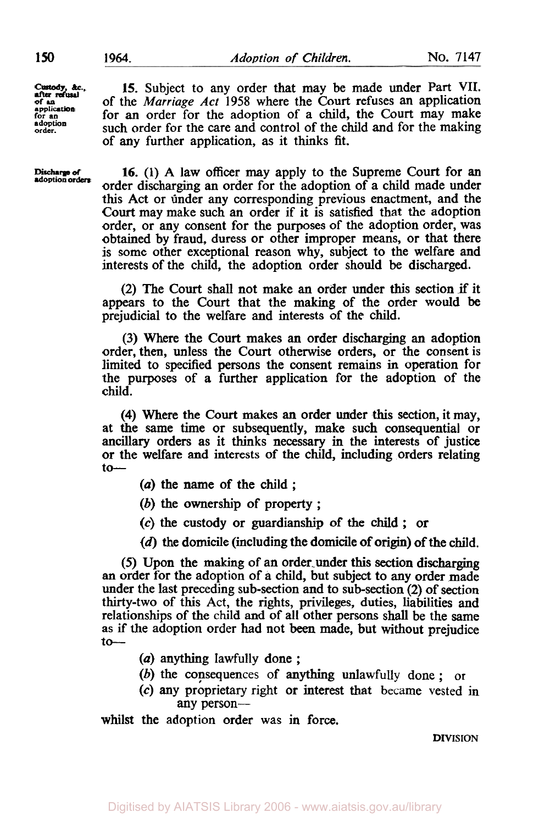*Custody, &c.,* after refusal **application for an adoption order.** 

**Discharge of**<br>adoption orders

**15.** Subject to any order that may be made under Part VII. of the *Marriage Act* 1958 where the Court refuses an application for **an** order for the adoption of a child, the Court may make such order for the care and control of the child and for the making of any further application, as it thinks fit.

**16.** (1) A law officer may apply to the Supreme Court for an order discharging an order for the adoption of a child made under this Act or under any corresponding previous enactment, and the Court may make such an order if it is satisfied that the adoption order, or any consent for the purposes of the adoption order, was obtained by fraud, duress or other improper means, or that there is some other exceptional reason why, subject to the welfare and interests of the child, the adoption order should be discharged.

(2) The Court shall not make an order under this section if it appears to the Court that the making of the order would be prejudicial to the welfare and interests of the child.

(3) Where the Court makes an order discharging an adoption order, then, unless the Court otherwise orders, or the consent is limited to specified persons the consent remains in operation for the purposes of a further application for the adoption of the child.

**(4)** Where the **Court** makes an order under **this** section, it may, at the same time or subsequently, make such consequential or ancillary orders as it thinks necessary in the interests of justice or the welfare and interests of the child, including orders relating  $to-$ 

- *(a)* the name of the child ;
- (b) the ownership of property ;
- *(c)* the custody or guardianship of the child ; or
- **(d)** the domicile (including the domicile **of** origin) of the child.

*(5)* Upon the making **of** an order. under this section discharging an order for the adoption **of** a child, but subject to any order made under the last preceding sub-section and to sub-section (2) of section thirty-two of this Act, the rights, privileges, duties, liabilities and relationships of the child and of all other persons shall be the same as if the adoption order had not been made, but without prejudice  $to-$ 

- (a) anything lawfully done ;
- (b) the consequences of anything unlawfully done ; or
- *(c)* any proprietary right or interest that became vested in any person-

whilst the adoption order was in force.

#### **DIVISION**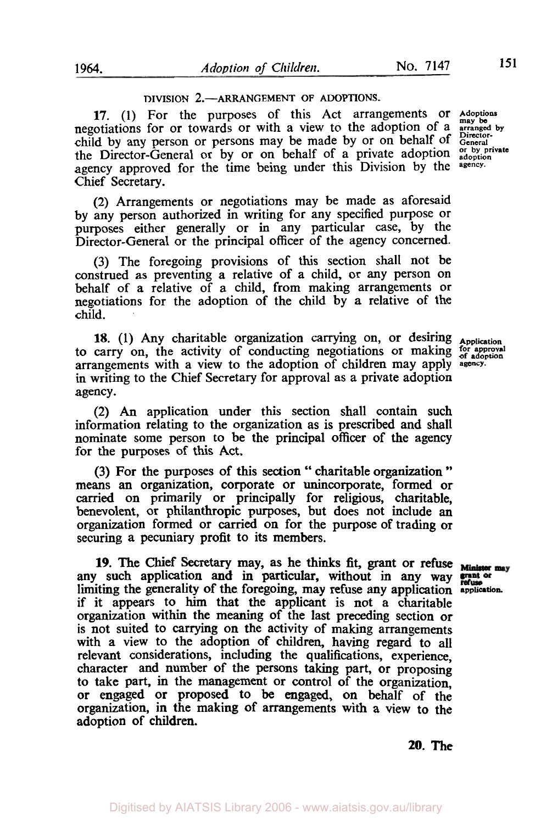### **DIVISION 2.-ARRANGEMENT OF ADOPTIONS.**

**17.** (1) For the purposes of this Act arrangements or Adoptions may be obtations for or towards or with a view to the adoption of a stranged by obtations for or towards or with a view to the adoption of a stranged by negotiations for or towards or with a view to the adoption of a **arranged by**  child by any person or persons may be made by or on behalf of *Director*the Director-General or by or on behalf of a private adoption **or by private adoption**  agency approved for the time being under this Division by the **agency.**  Chief Secretary.

**(2)** Arrangements or negotiations may be made as aforesaid by any person authorized in writing for any specified purpose or purposes either generally or in any particular case, by the Director-General or the principal officer of the agency concerned.

(3) The foregoing provisions of this section shall not be construed as preventing a relative of a child, or any person on behalf of a relative of a child, from making arrangements or negotiations for the adoption of the child by a relative of the child.

18. (1) Any charitable organization carrying on, or desiring **Application**  to carry on, the activity of conducting negotiations or making for approval arrangements with a view to the adoption of children may apply **agency.**  in writing to the Chief Secretary for approval as a private adoption agency.

(2) An application under this section shall contain such information relating to the organization as is prescribed and shall nominate some person to be the principal officer of the agency for the purposes of this Act.

(3) For the purposes of this section " charitable organization " means an organization, corporate or unincorporate, formed or carried on primarily or principally for religious, charitable, benevolent, or philanthropic purposes, but does not include an organization formed or carried on for the purpose of trading or securing a pecuniary profit to its members.

**19.** The Chief **Secretary** may, as he thinks fit, grant or refuse any such application and in particular, without in any way limiting the generality of the foregoing, may refuse any application **application.**  if it appears to him that the applicant is not a charitable organization within the meaning of the last preceding section or is not suited to carrying on the activity of making arrangements with a view to the adoption of children, having regard to all relevant considerations, including the qualifications, experience, character and number of the persons taking part, or proposing to take part, in the management or control of the organization, or engaged or proposed to be engaged, **on** behalf of the organization, in the making **of** arrangements with a view to the adoption of children.

*20.* **The**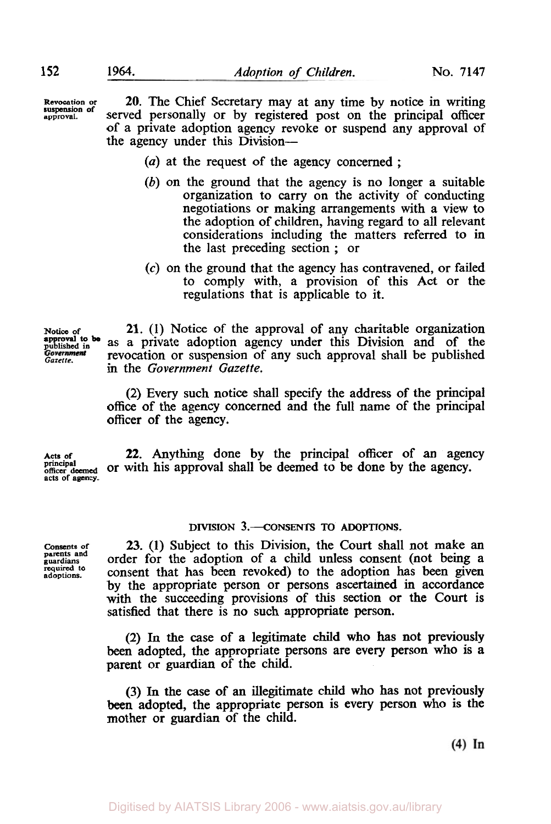**Revocation or approval. suspension of** 

**20.** The Chief Secretary may at any time by notice in writing served personally or by registered post on the principal officer of a private adoption agency revoke or suspend any approval of the agency under this Division-

- *(a)* at the request of the agency concerned ;
- (b) on the ground that the agency is no longer a suitable organization to carry on the activity of conducting negotiations or making arrangements with a view to the adoption of children, having regard to all relevant considerations including the matters referred to in the last preceding section ; or
- *(c)* on the ground that the agency has contravened, or failed to comply with, a provision of this Act or the regulations that is applicable to it.

**approval to be** 

**Notice of 21.** (1) Notice of the approval of any charitable organization **approval to be** as a private adoption agency under this Division and of the published Forernment revocation or suspension of any such approval shall be published in the *Government Gazette*.

> (2) Every such notice shall specify the address of the principal office of the agency concerned and the full name of the principal officer of the agency.

Acts of **22.** Anything done by the principal officer of an agency principal officer deemed or with his approval shall be deemed to be done by the agency. **principal officer deemed** or with his approval shall be deemed to be done by the agency. **acts of agency.** 

## **DIVISION 3.--CONSENTS TO ADOPTIONS.**

**Consents of parents and guardians required to adoptions.** 

**23.** (1) Subject to this Division, the Court shall not make an order for the adoption of a child unless consent (not being a consent that has been revoked) to the adoption has been given by the appropriate person or persons ascertained in accordance with the succeeding provisions of this section or the Court is satisfied that there is no such appropriate person.

(2) In the case of a legitimate child who **has** not previously been adopted, the appropriate persons are every person who is a parent or guardian of the child.

(3) In the case *of* an illegitimate child who has not previously been adopted, the appropriate person is every person who is the mother or guardian of the child.

 $(4)$  In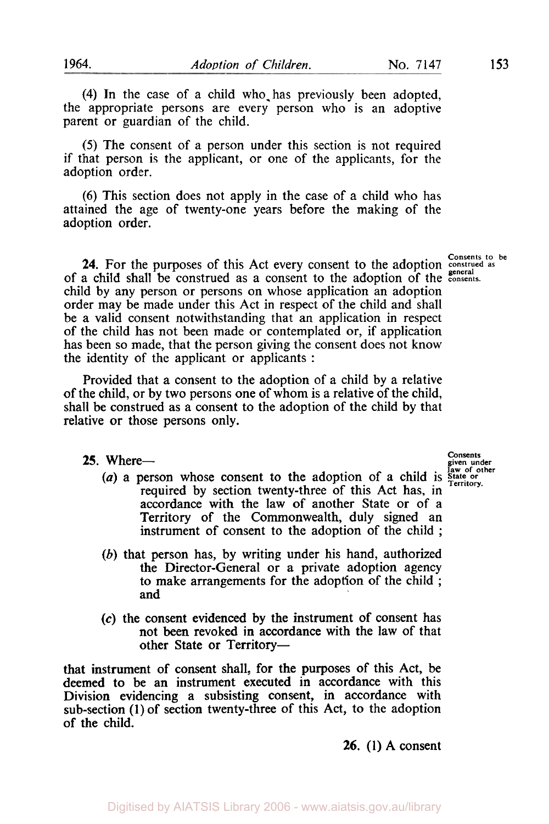**(4)** In the case of a child who-has previously been adopted, the appropriate persons are every person who is an adoptive parent or guardian of the child.

*(5)* The consent of a person under this section is not required if that person is the applicant, or one of the applicants, for the adoption order.

**(6)** This section does not apply in the case of a child who has attained the age of twenty-one years before the making of the adoption order.

**24.** For the purposes of this Act every consent to the adoption **consents** to be **24.** For the purposes of this Act every consent to the adoption **construed** as of a child shall be construed as a consent to the adoption of the **consents.**  child by any person or persons on whose application an adoption order may be made under this Act in respect of the child and shall be a valid consent notwithstanding that an application in respect of the child has not been made or contemplated or, if application has been so made, that the person giving the consent does not know the identity of the applicant or applicants :

Provided that a consent to the adoption of a child by a relative of the child, or by two persons one of whom is a relative of the child, shall be construed as a consent to the adoption of the child by that relative or those persons only.

**25.** Where-

- *(a)* a person whose consent to the adoption of a child is **State or Territory**  required by section twenty-three of this Act has, in required by section twenty-three of this Act has, in accordance with the law of another State or of a Territory of the Commonwealth, duly signed an instrument of consent to the adoption of the child ;
- (b) that person has, by writing under his hand, authorized the Director-General or a private adoption agency to make arrangements for the adoption of the child ; and
- *(c)* the consent evidenced by the instrument of consent has not **been** revoked in accordance with the law of that other State or Territory-

that instrument of consent shall, for the purposes of this Act, be deemed to be an instrument executed in accordance with this Division evidencing a subsisting consent, in accordance with sub-section **(1)** of section twenty-three of this Act, to the adoption of the child.

**26. (1)** A consent

**Consents given under law of other**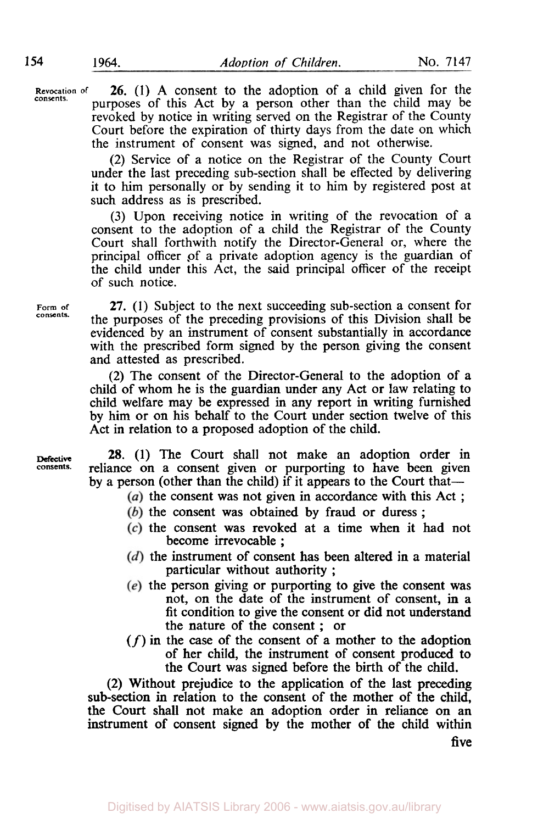**Revocation of 26.** (1) A consent to the adoption of a child given for the consents. <br>purposes of this Act by a person other than the child may be revoked by notice in writing served on the Registrar of the County Court before the expiration of thirty days from the date on which the instrument of consent was signed, and not otherwise.

> (2) Service of a notice on the Registrar of the County Court under the last preceding sub-section shall be effected by delivering it to him personally or by sending it to him by registered post at such address as is prescribed.

> **(3)** Upon receiving notice in writing of the revocation of a consent to the adoption of a child the Registrar of the County Court shall forthwith notify the Director-General or, where the principal officer of a private adoption agency is the guardian of the child under this Act, the said principal officer of the receipt of such notice.

**Form of consents.** 

**27. (1)** Subject to the next succeeding sub-section a consent for the purposes of the preceding provisions of this Division shall be evidenced by an instrument of consent substantially in accordance with the prescribed form signed by the person giving the consent and attested as prescribed.

**(2)** The consent of the Director-General to the adoption **of** a child of whom he is the guardian under any Act or law relating to child welfare may be expressed in any report in writing furnished by him or on his behalf to the Court under section twelve of this Act in relation to a proposed adoption of the child.

**Defective consents.** 

**28. (1)** The Court shall not make an adoption order in reliance on a consent given or purporting to have been given by a person (other than the child) if it appears to the Court that—

- (a) the consent was not given in accordance with this Act ;
- $(b)$  the consent was obtained by fraud or duress :
- the consent was revoked at a time when it had not become irrevocable ;
- $(d)$  the instrument of consent has been altered in a material particular without authority ;
- $(e)$  the person giving or purporting to give the consent was not, on the date of the instrument of consent, in a fit condition to give the consent or did not understand the nature **of** the consent ; or
- *(f)* in the case **of** the consent of a mother to the adoption of her child, the instrument of consent produced to the Court was signed before the birth of the child.

(2) Without prejudice to the application of the last preceding sub-section in relation to the consent of the mother of the child, the Court shall not make an adoption order in reliance on an instrument of consent signed by the mother of the child within

**five**